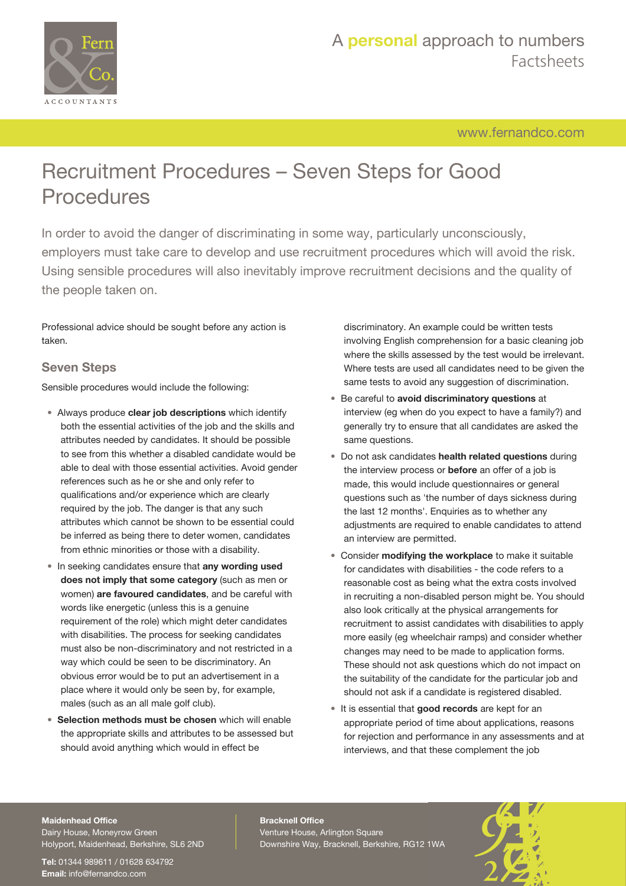

[www.fernandco.com](http://www.fernandco.com)

# Recruitment Procedures – Seven Steps for Good **Procedures**

In order to avoid the danger of discriminating in some way, particularly unconsciously, employers must take care to develop and use recruitment procedures which will avoid the risk. Using sensible procedures will also inevitably improve recruitment decisions and the quality of the people taken on.

Professional advice should be sought before any action is taken.

### **Seven Steps**

Sensible procedures would include the following:

- Always produce **clear job descriptions** which identify both the essential activities of the job and the skills and attributes needed by candidates. It should be possible to see from this whether a disabled candidate would be able to deal with those essential activities. Avoid gender references such as he or she and only refer to qualifications and/or experience which are clearly required by the job. The danger is that any such attributes which cannot be shown to be essential could be inferred as being there to deter women, candidates from ethnic minorities or those with a disability.
- In seeking candidates ensure that **any wording used does not imply that some category** (such as men or women) **are favoured candidates**, and be careful with words like energetic (unless this is a genuine requirement of the role) which might deter candidates with disabilities. The process for seeking candidates must also be non-discriminatory and not restricted in a way which could be seen to be discriminatory. An obvious error would be to put an advertisement in a place where it would only be seen by, for example, males (such as an all male golf club).
- **Selection methods must be chosen** which will enable the appropriate skills and attributes to be assessed but should avoid anything which would in effect be

discriminatory. An example could be written tests involving English comprehension for a basic cleaning job where the skills assessed by the test would be irrelevant. Where tests are used all candidates need to be given the same tests to avoid any suggestion of discrimination.

- Be careful to **avoid discriminatory questions** at interview (eg when do you expect to have a family?) and generally try to ensure that all candidates are asked the same questions.
- Do not ask candidates **health related questions** during the interview process or **before** an offer of a job is made, this would include questionnaires or general questions such as 'the number of days sickness during the last 12 months'. Enquiries as to whether any adjustments are required to enable candidates to attend an interview are permitted.
- Consider **modifying the workplace** to make it suitable for candidates with disabilities - the code refers to a reasonable cost as being what the extra costs involved in recruiting a non-disabled person might be. You should also look critically at the physical arrangements for recruitment to assist candidates with disabilities to apply more easily (eg wheelchair ramps) and consider whether changes may need to be made to application forms. These should not ask questions which do not impact on the suitability of the candidate for the particular job and should not ask if a candidate is registered disabled.
- It is essential that **good records** are kept for an appropriate period of time about applications, reasons for rejection and performance in any assessments and at interviews, and that these complement the job

#### **Maidenhead Office**

Dairy House, Moneyrow Green Holyport, Maidenhead, Berkshire, SL6 2ND

**Tel:** 01344 989611 / 01628 634792 **Email:** [info@fernandco.com](mailto:info@fernandco.com)

**Bracknell Office** Venture House, Arlington Square Downshire Way, Bracknell, Berkshire, RG12 1WA